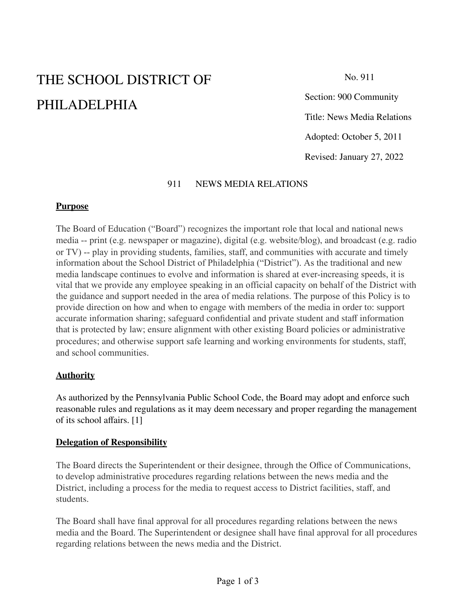# THE SCHOOL DISTRICT OF PHILADELPHIA

No. 911

Section: 900 Community Title: News Media Relations Adopted: October 5, 2011 Revised: January 27, 2022

#### 911 NEWS MEDIA RELATIONS

#### **Purpose**

The Board of Education ("Board") recognizes the important role that local and national news media -- print (e.g. newspaper or magazine), digital (e.g. website/blog), and broadcast (e.g. radio or TV) -- play in providing students, families, staff, and communities with accurate and timely information about the School District of Philadelphia ("District"). As the traditional and new media landscape continues to evolve and information is shared at ever-increasing speeds, it is vital that we provide any employee speaking in an official capacity on behalf of the District with the guidance and support needed in the area of media relations. The purpose of this Policy is to provide direction on how and when to engage with members of the media in order to: support accurate information sharing; safeguard confidential and private student and staff information that is protected by law; ensure alignment with other existing Board policies or administrative procedures; and otherwise support safe learning and working environments for students, staff, and school communities.

#### **Authority**

As authorized by the Pennsylvania Public School Code, the Board may adopt and enforce such reasonable rules and regulations as it may deem necessary and proper regarding the management of its school affairs. [1]

#### **Delegation of Responsibility**

The Board directs the Superintendent or their designee, through the Office of Communications, to develop administrative procedures regarding relations between the news media and the District, including a process for the media to request access to District facilities, staff, and students.

The Board shall have final approval for all procedures regarding relations between the news media and the Board. The Superintendent or designee shall have final approval for all procedures regarding relations between the news media and the District.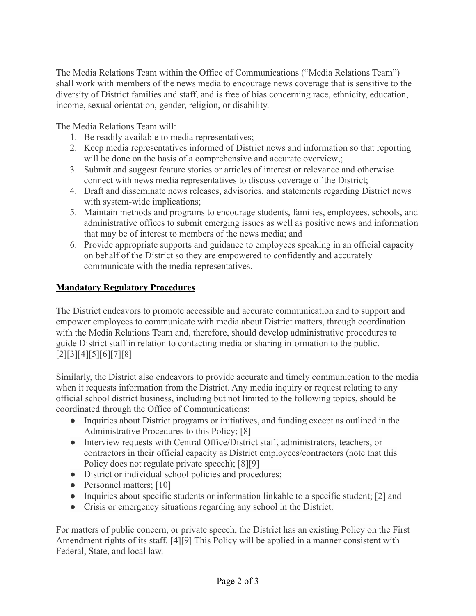The Media Relations Team within the Office of Communications ("Media Relations Team") shall work with members of the news media to encourage news coverage that is sensitive to the diversity of District families and staff, and is free of bias concerning race, ethnicity, education, income, sexual orientation, gender, religion, or disability.

The Media Relations Team will:

- 1. Be readily available to media representatives;
- 2. Keep media representatives informed of District news and information so that reporting will be done on the basis of a comprehensive and accurate overview.
- 3. Submit and suggest feature stories or articles of interest or relevance and otherwise connect with news media representatives to discuss coverage of the District;
- 4. Draft and disseminate news releases, advisories, and statements regarding District news with system-wide implications;
- 5. Maintain methods and programs to encourage students, families, employees, schools, and administrative offices to submit emerging issues as well as positive news and information that may be of interest to members of the news media; and
- 6. Provide appropriate supports and guidance to employees speaking in an official capacity on behalf of the District so they are empowered to confidently and accurately communicate with the media representatives.

### **Mandatory Regulatory Procedures**

The District endeavors to promote accessible and accurate communication and to support and empower employees to communicate with media about District matters, through coordination with the Media Relations Team and, therefore, should develop administrative procedures to guide District staff in relation to contacting media or sharing information to the public. [2][3][4][5][6][7][8]

Similarly, the District also endeavors to provide accurate and timely communication to the media when it requests information from the District. Any media inquiry or request relating to any official school district business, including but not limited to the following topics, should be coordinated through the Office of Communications:

- Inquiries about District programs or initiatives, and funding except as outlined in the Administrative Procedures to this Policy; [8]
- Interview requests with Central Office/District staff, administrators, teachers, or contractors in their official capacity as District employees/contractors (note that this Policy does not regulate private speech); [8][9]
- District or individual school policies and procedures;
- Personnel matters; [10]
- Inquiries about specific students or information linkable to a specific student; [2] and
- Crisis or emergency situations regarding any school in the District.

For matters of public concern, or private speech, the District has an existing Policy on the First Amendment rights of its staff. [4][9] This Policy will be applied in a manner consistent with Federal, State, and local law.